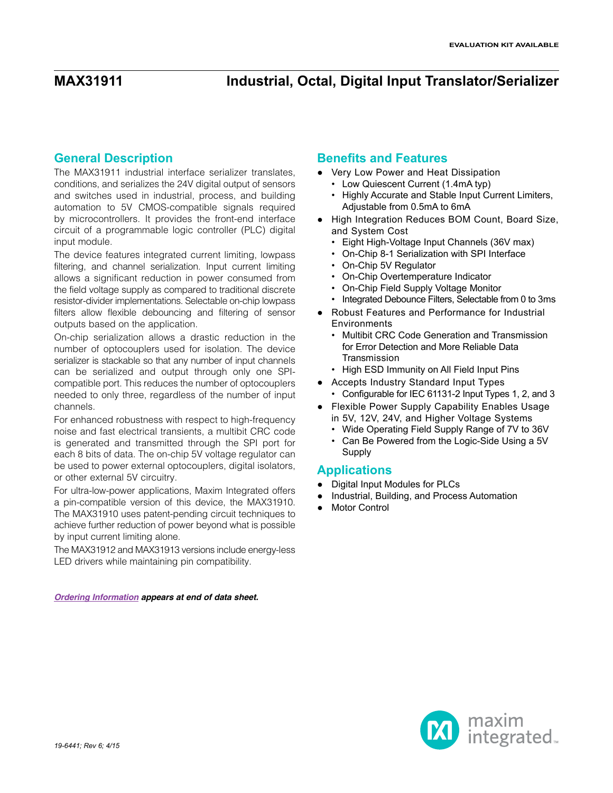### **General Description**

The MAX31911 industrial interface serializer translates, conditions, and serializes the 24V digital output of sensors and switches used in industrial, process, and building automation to 5V CMOS-compatible signals required by microcontrollers. It provides the front-end interface circuit of a programmable logic controller (PLC) digital input module.

The device features integrated current limiting, lowpass filtering, and channel serialization. Input current limiting allows a significant reduction in power consumed from the field voltage supply as compared to traditional discrete resistor-divider implementations. Selectable on-chip lowpass filters allow flexible debouncing and filtering of sensor outputs based on the application.

On-chip serialization allows a drastic reduction in the number of optocouplers used for isolation. The device serializer is stackable so that any number of input channels can be serialized and output through only one SPIcompatible port. This reduces the number of optocouplers needed to only three, regardless of the number of input channels.

For enhanced robustness with respect to high-frequency noise and fast electrical transients, a multibit CRC code is generated and transmitted through the SPI port for each 8 bits of data. The on-chip 5V voltage regulator can be used to power external optocouplers, digital isolators, or other external 5V circuitry.

For ultra-low-power applications, Maxim Integrated offers a pin-compatible version of this device, the MAX31910. The MAX31910 uses patent-pending circuit techniques to achieve further reduction of power beyond what is possible by input current limiting alone.

The MAX31912 and MAX31913 versions include energy-less LED drivers while maintaining pin compatibility.

*[Ordering Information](#page-15-0) appears at end of data sheet.*

### **Benefits and Features**

- Very Low Power and Heat Dissipation
	- Low Quiescent Current (1.4mA typ)
	- Highly Accurate and Stable Input Current Limiters, Adjustable from 0.5mA to 6mA
- High Integration Reduces BOM Count, Board Size, and System Cost
	- Eight High-Voltage Input Channels (36V max)
	- On-Chip 8-1 Serialization with SPI Interface
	- On-Chip 5V Regulator
	- On-Chip Overtemperature Indicator
	- On-Chip Field Supply Voltage Monitor
	- Integrated Debounce Filters, Selectable from 0 to 3ms
- Robust Features and Performance for Industrial **Environments** 
	- Multibit CRC Code Generation and Transmission for Error Detection and More Reliable Data Transmission
	- High ESD Immunity on All Field Input Pins
- Accepts Industry Standard Input Types • Configurable for IEC 61131-2 Input Types 1, 2, and 3
- Flexible Power Supply Capability Enables Usage in 5V, 12V, 24V, and Higher Voltage Systems
	- Wide Operating Field Supply Range of 7V to 36V
	- Can Be Powered from the Logic-Side Using a 5V Supply

### **Applications**

- Digital Input Modules for PLCs
- Industrial, Building, and Process Automation
- **Motor Control**

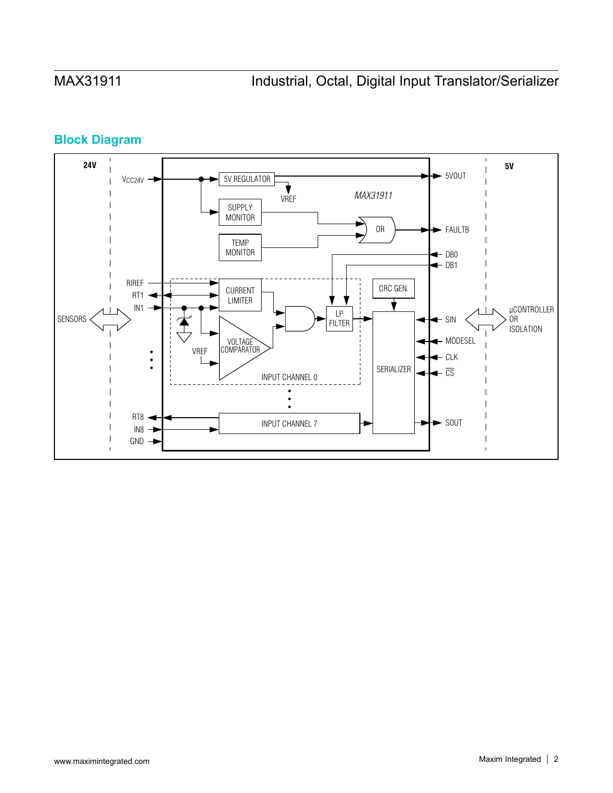# **Block Diagram**

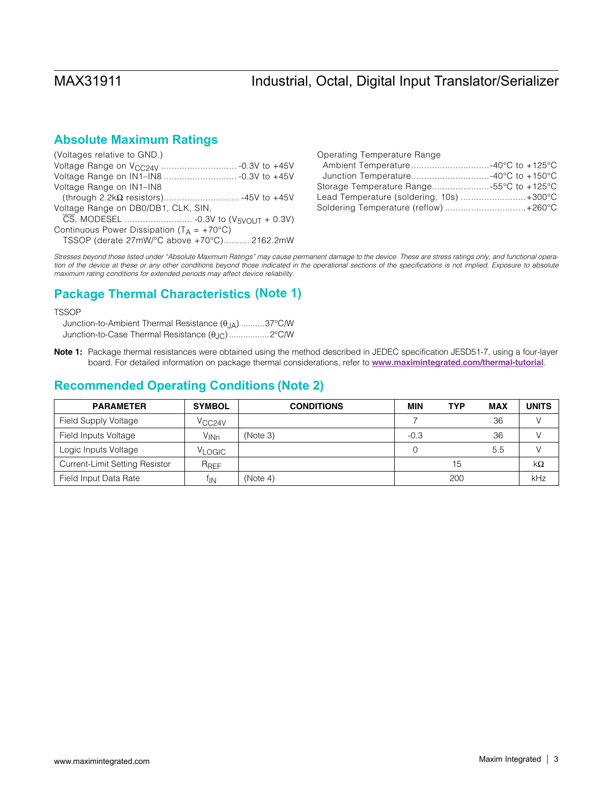## **Absolute Maximum Ratings**

| (Voltages relative to GND.)                           |
|-------------------------------------------------------|
|                                                       |
|                                                       |
| Voltage Range on IN1-IN8                              |
|                                                       |
| Voltage Range on DB0/DB1, CLK, SIN,                   |
|                                                       |
| Continuous Power Dissipation ( $T_A = +70^{\circ}C$ ) |
| TSSOP (derate 27mW/°C above +70°C) 2162.2mW           |

| Operating Temperature Range               |  |
|-------------------------------------------|--|
|                                           |  |
|                                           |  |
| Storage Temperature Range55°C to +125°C   |  |
| Lead Temperature (soldering, 10s)  +300°C |  |
| Soldering Temperature (reflow)  +260°C    |  |

*Stresses beyond those listed under "Absolute Maximum Ratings" may cause permanent damage to the device. These are stress ratings only, and functional opera*tion of the device at these or any other conditions beyond those indicated in the operational sections of the specifications is not implied. Exposure to absolute *maximum rating conditions for extended periods may affect device reliability.*

## **Package Thermal Characteristics (Note 1)**

**TSSOP** 

Junction-to-Ambient Thermal Resistance ( $\theta_{JA}$ ) ..........37°C/W Junction-to-Case Thermal Resistance ( $\theta_{JC}$ )..................2°C/W

Note 1: Package thermal resistances were obtained using the method described in JEDEC specification JESD51-7, using a four-layer board. For detailed information on package thermal considerations, refer to [www.maximintegrated.com/thermal-tutorial](http://www.maximintegrated.com/thermal-tutorial).

## **Recommended Operating Conditions (Note 2)**

| <b>PARAMETER</b>                      | <b>SYMBOL</b>      | <b>CONDITIONS</b> | <b>MIN</b> | <b>TYP</b> | <b>MAX</b> | <b>UNITS</b> |
|---------------------------------------|--------------------|-------------------|------------|------------|------------|--------------|
| Field Supply Voltage                  | V <sub>CC24V</sub> |                   |            |            | 36         |              |
| Field Inputs Voltage                  | $V_{INn}$          | (Note 3)          | $-0.3$     |            | 36         |              |
| Logic Inputs Voltage                  | V <sub>LOGIC</sub> |                   |            |            | 5.5        |              |
| <b>Current-Limit Setting Resistor</b> | $R_{REF}$          |                   |            | 15         |            | kΩ           |
| Field Input Data Rate                 | ŤΙN                | (Note 4)          |            | 200        |            | kHz          |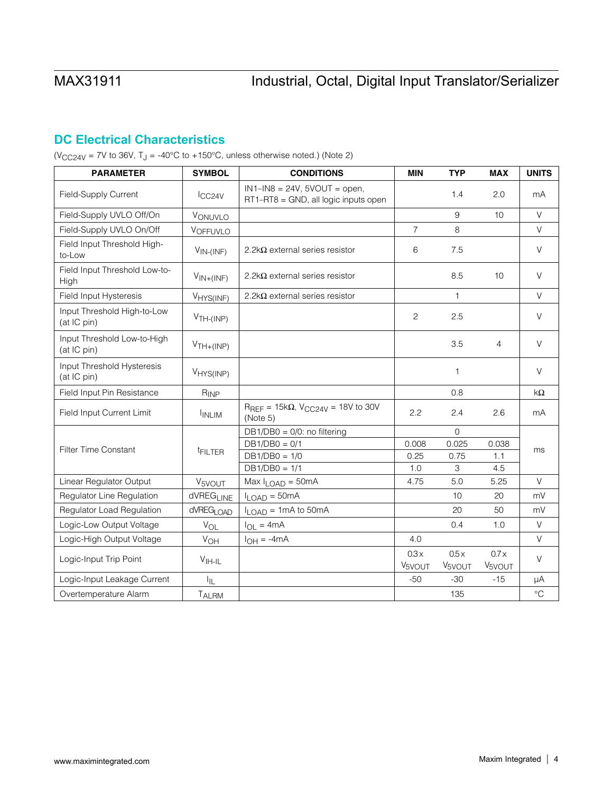# **DC Electrical Characteristics**

( $V_{CC24V}$  = 7V to 36V, T<sub>J</sub> = -40°C to +150°C, unless otherwise noted.) (Note 2)

| <b>PARAMETER</b>                           | <b>SYMBOL</b>         | <b>CONDITIONS</b>                                                         | <b>MIN</b>                 | <b>TYP</b>                 | <b>MAX</b>                 | <b>UNITS</b> |
|--------------------------------------------|-----------------------|---------------------------------------------------------------------------|----------------------------|----------------------------|----------------------------|--------------|
| Field-Supply Current                       | ICC24V                | $IN1-N8 = 24V$ , $5VOUT = open$ ,<br>RT1-RT8 = GND, all logic inputs open |                            | 1.4                        | 2.0                        | mA           |
| Field-Supply UVLO Off/On                   | VONUVLO               |                                                                           |                            | 9                          | 10                         | $\vee$       |
| Field-Supply UVLO On/Off                   | VOFFUVLO              |                                                                           | $\overline{7}$             | 8                          |                            | $\vee$       |
| Field Input Threshold High-<br>to-Low      | $V_{IN-(INF)}$        | 2.2k $\Omega$ external series resistor                                    | 6                          | 7.5                        |                            | $\vee$       |
| Field Input Threshold Low-to-<br>High      | $V_{IN+(INF)}$        | 2.2k $\Omega$ external series resistor                                    |                            | 8.5                        | 10                         | $\vee$       |
| Field Input Hysteresis                     | V <sub>HYS(INF)</sub> | 2.2k $\Omega$ external series resistor                                    |                            | $\mathbf{1}$               |                            | $\vee$       |
| Input Threshold High-to-Low<br>(at IC pin) | $VTH-(INP)$           |                                                                           | $\mathbf{2}$               | 2.5                        |                            | $\vee$       |
| Input Threshold Low-to-High<br>(at IC pin) | $VTH+(INP)$           |                                                                           |                            | 3.5                        | $\overline{4}$             | $\vee$       |
| Input Threshold Hysteresis<br>(at IC pin)  | V <sub>HYS(INP)</sub> |                                                                           |                            | $\mathbf{1}$               |                            | $\vee$       |
| Field Input Pin Resistance                 | $R_{INP}$             |                                                                           |                            | 0.8                        |                            | $k\Omega$    |
| Field Input Current Limit                  | <b>INLIM</b>          | $R_{REF} = 15k\Omega$ , $V_{CC24V} = 18V$ to 30V<br>(Note 5)              | 2.2                        | 2.4                        | 2.6                        | mA           |
|                                            |                       | DB1/DB0 = 0/0: no filtering                                               |                            | $\Omega$                   |                            |              |
| Filter Time Constant                       | <sup>t</sup> FILTER   | $DB1/DB0 = 0/1$                                                           | 0.008                      | 0.025                      | 0.038                      | ms           |
|                                            |                       | $DB1/DB0 = 1/0$<br>$DB1/DB0 = 1/1$                                        | 0.25<br>1.0                | 0.75<br>3                  | 1.1<br>4.5                 |              |
| Linear Regulator Output                    |                       | Max $I_{\text{LOAD}} = 50$ mA                                             | 4.75                       | 5.0                        | 5.25                       | $\vee$       |
| Regulator Line Regulation                  | V <sub>5VOUT</sub>    |                                                                           |                            | 10                         | 20                         | mV           |
|                                            | dVREG <sub>LINE</sub> | $I_{LOAD} = 50mA$                                                         |                            | 20                         | 50                         | mV           |
| Regulator Load Regulation                  | dVREG <sub>LOAD</sub> | $I_{LOAD} = 1 \text{mA}$ to 50 mA                                         |                            |                            |                            |              |
| Logic-Low Output Voltage                   | $V_{OL}$              | $I_{OL} = 4mA$                                                            |                            | 0.4                        | 1.0                        | $\vee$       |
| Logic-High Output Voltage                  | VOH                   | $I_{OH} = -4mA$                                                           | 4.0                        |                            |                            | $\vee$       |
| Logic-Input Trip Point                     | $VII$ -IL             |                                                                           | 0.3x<br>V <sub>5VOUT</sub> | 0.5x<br>V <sub>5VOUT</sub> | 0.7x<br>V <sub>5VOUT</sub> | $\vee$       |
| Logic-Input Leakage Current                | ŀμ                    |                                                                           | $-50$                      | $-30$                      | $-15$                      | μA           |
| Overtemperature Alarm                      | TALRM                 |                                                                           |                            | 135                        |                            | $\circ$ C    |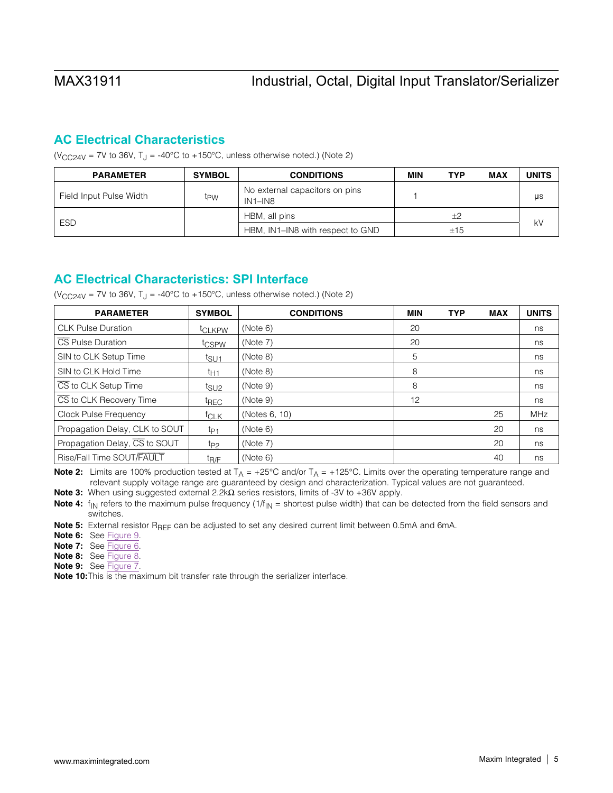## **AC Electrical Characteristics**

( $V_{CC24V}$  = 7V to 36V, T<sub>J</sub> = -40°C to +150°C, unless otherwise noted.) (Note 2)

| <b>PARAMETER</b>        | <b>SYMBOL</b> | <b>CONDITIONS</b>                         | MIN | <b>TYP</b> | <b>MAX</b> | <b>UNITS</b> |
|-------------------------|---------------|-------------------------------------------|-----|------------|------------|--------------|
| Field Input Pulse Width | tpw           | No external capacitors on pins<br>IN1-IN8 |     |            |            | μs           |
|                         |               | HBM, all pins                             |     | $+2$       |            |              |
| <b>ESD</b>              |               | HBM, IN1-IN8 with respect to GND          |     | ±15        |            | kV           |

## **AC Electrical Characteristics: SPI Interface**

( $V_{CC24V}$  = 7V to 36V, T<sub>J</sub> = -40°C to +150°C, unless otherwise noted.) (Note 2)

| <b>PARAMETER</b>                         | <b>SYMBOL</b>      | <b>CONDITIONS</b> | MIN | <b>TYP</b> | <b>MAX</b> | <b>UNITS</b> |
|------------------------------------------|--------------------|-------------------|-----|------------|------------|--------------|
| <b>CLK Pulse Duration</b>                | t <sub>CLKPW</sub> | (Note 6)          | 20  |            |            | ns           |
| CS Pulse Duration                        | t <sub>CSPW</sub>  | (Note 7)          | 20  |            |            | ns           |
| SIN to CLK Setup Time                    | t <sub>SU1</sub>   | (Note 8)          | 5   |            |            | ns           |
| SIN to CLK Hold Time                     | t <sub>Η1</sub>    | (Note 8)          | 8   |            |            | ns           |
| $\overline{\text{CS}}$ to CLK Setup Time | t <sub>SU2</sub>   | (Note 9)          | 8   |            |            | ns           |
| CS to CLK Recovery Time                  | <sup>t</sup> REC   | (Note 9)          | 12  |            |            | ns           |
| Clock Pulse Frequency                    | <sup>†</sup> CLK   | (Notes 6, 10)     |     |            | 25         | MHz          |
| Propagation Delay, CLK to SOUT           | t <sub>P1</sub>    | (Note 6)          |     |            | 20         | ns           |
| Propagation Delay, CS to SOUT            | t <sub>P2</sub>    | (Note 7)          |     |            | 20         | ns           |
| Rise/Fall Time SOUT/FAULT                | t <sub>R/F</sub>   | (Note 6)          |     |            | 40         | ns           |

Note 2: Limits are 100% production tested at  $T_A = +25^{\circ}C$  and/or  $T_A = +125^{\circ}C$ . Limits over the operating temperature range and relevant supply voltage range are guaranteed by design and characterization. Typical values are not guaranteed.

Note 3: When using suggested external 2.2k $\Omega$  series resistors, limits of -3V to +36V apply.

**Note 4:**  $f_{\text{IN}}$  refers to the maximum pulse frequency  $(1/f_{\text{IN}} =$  shortest pulse width) that can be detected from the field sensors and switches.

Note 5: External resistor R<sub>REF</sub> can be adjusted to set any desired current limit between 0.5mA and 6mA.

- Note 6: See [Figure 9.](#page-14-0)
- Note 7: See [Figure 6.](#page-14-1)
- Note 8: See [Figure 8.](#page-14-2)
- Note 9: See [Figure 7.](#page-14-3)

Note 10: This is the maximum bit transfer rate through the serializer interface.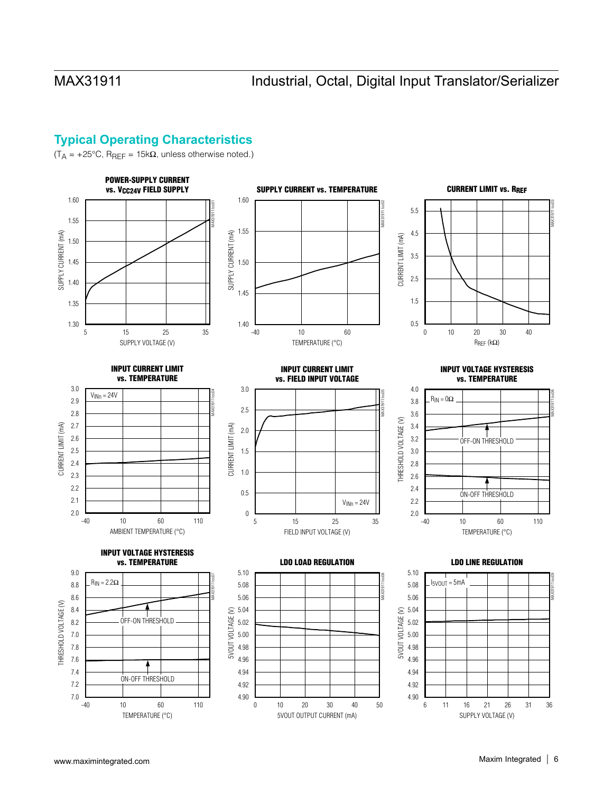# **Typical Operating Characteristics**

 $(T_A = +25^{\circ}C, R_{REF} = 15k\Omega$ , unless otherwise noted.)

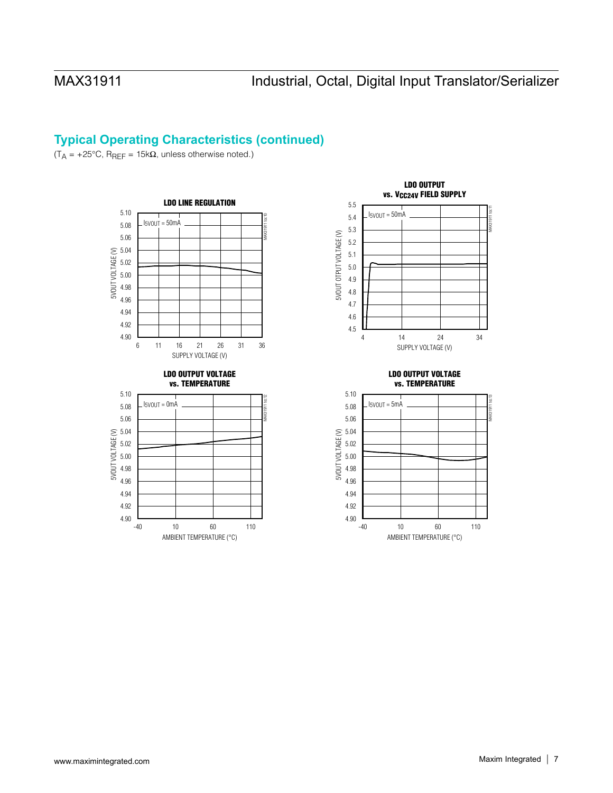# **Typical Operating Characteristics (continued)**

 $(T_A = +25\degree C, R_{REF} = 15k\Omega$ , unless otherwise noted.)



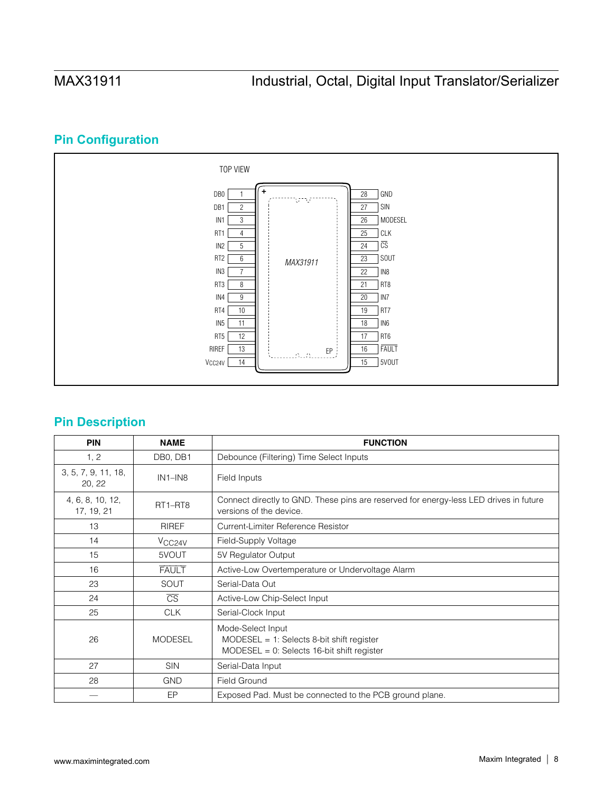# **Pin Configuration**



## **Pin Description**

| <b>PIN</b>                     | <b>NAME</b>                      | <b>FUNCTION</b>                                                                                                  |
|--------------------------------|----------------------------------|------------------------------------------------------------------------------------------------------------------|
| 1, 2                           | DB0, DB1                         | Debounce (Filtering) Time Select Inputs                                                                          |
| 3, 5, 7, 9, 11, 18,<br>20, 22  | $IN1-N8$                         | Field Inputs                                                                                                     |
| 4, 6, 8, 10, 12,<br>17, 19, 21 | RT <sub>1</sub> -RT <sub>8</sub> | Connect directly to GND. These pins are reserved for energy-less LED drives in future<br>versions of the device. |
| 13                             | <b>RIREF</b>                     | Current-Limiter Reference Resistor                                                                               |
| 14                             | V <sub>CC24V</sub>               | Field-Supply Voltage                                                                                             |
| 15                             | 5VOUT                            | 5V Regulator Output                                                                                              |
| 16                             | <b>FAULT</b>                     | Active-Low Overtemperature or Undervoltage Alarm                                                                 |
| 23                             | SOUT                             | Serial-Data Out                                                                                                  |
| 24                             | $\overline{\text{CS}}$           | Active-Low Chip-Select Input                                                                                     |
| 25                             | <b>CLK</b>                       | Serial-Clock Input                                                                                               |
| 26                             | <b>MODESEL</b>                   | Mode-Select Input<br>MODESEL = 1: Selects 8-bit shift register<br>$MODESEL = 0$ : Selects 16-bit shift register  |
| 27                             | <b>SIN</b>                       | Serial-Data Input                                                                                                |
| 28                             | <b>GND</b>                       | <b>Field Ground</b>                                                                                              |
|                                | EP                               | Exposed Pad. Must be connected to the PCB ground plane.                                                          |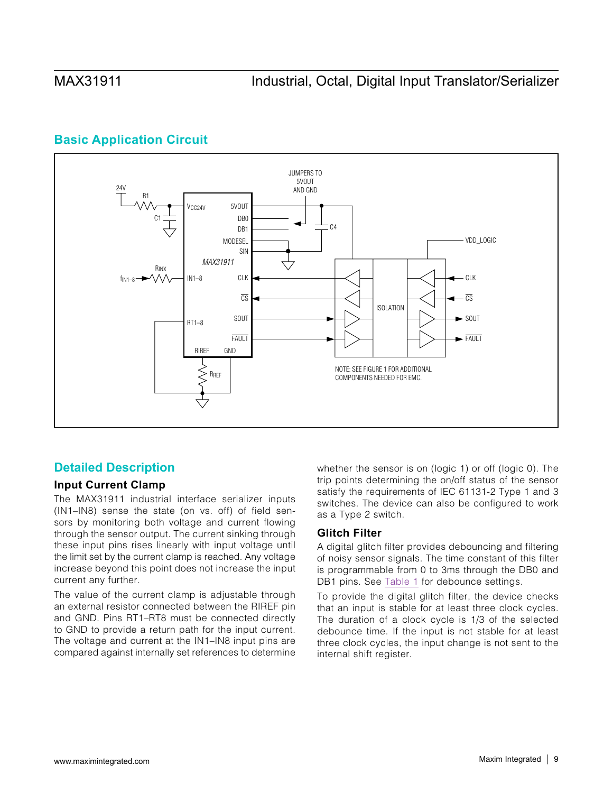# **Basic Application Circuit**



## <span id="page-8-0"></span>**Detailed Description**

### **Input Current Clamp**

The MAX31911 industrial interface serializer inputs (IN1–IN8) sense the state (on vs. off) of field sensors by monitoring both voltage and current flowing through the sensor output. The current sinking through these input pins rises linearly with input voltage until the limit set by the current clamp is reached. Any voltage increase beyond this point does not increase the input current any further.

The value of the current clamp is adjustable through an external resistor connected between the RIREF pin and GND. Pins RT1–RT8 must be connected directly to GND to provide a return path for the input current. The voltage and current at the IN1–IN8 input pins are compared against internally set references to determine

whether the sensor is on (logic 1) or off (logic 0). The trip points determining the on/off status of the sensor satisfy the requirements of IEC 61131-2 Type 1 and 3 switches. The device can also be configured to work as a Type 2 switch.

### **Glitch Filter**

A digital glitch filter provides debouncing and filtering of noisy sensor signals. The time constant of this filter is programmable from 0 to 3ms through the DB0 and DB1 pins. See [Table 1](#page-9-0) for debounce settings.

To provide the digital glitch filter, the device checks that an input is stable for at least three clock cycles. The duration of a clock cycle is 1/3 of the selected debounce time. If the input is not stable for at least three clock cycles, the input change is not sent to the internal shift register.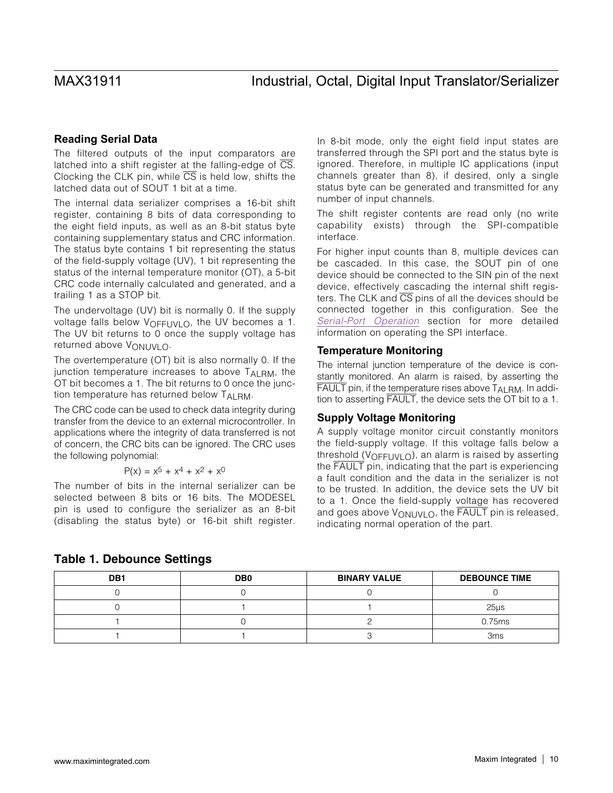### **Reading Serial Data**

The filtered outputs of the input comparators are latched into a shift register at the falling-edge of  $\overline{\text{CS}}$ . Clocking the CLK pin, while  $\overline{CS}$  is held low, shifts the latched data out of SOUT 1 bit at a time.

The internal data serializer comprises a 16-bit shift register, containing 8 bits of data corresponding to the eight field inputs, as well as an 8-bit status byte containing supplementary status and CRC information. The status byte contains 1 bit representing the status of the field-supply voltage (UV), 1 bit representing the status of the internal temperature monitor (OT), a 5-bit CRC code internally calculated and generated, and a trailing 1 as a STOP bit.

The undervoltage (UV) bit is normally 0. If the supply voltage falls below  $V_{\Omega}F_{\text{FII}}$   $V_{\text{II}}$   $\Omega$ , the UV becomes a 1. The UV bit returns to 0 once the supply voltage has returned above  $V_{\Omega}$ <sub>NUVL $\Omega$ </sub>.

The overtemperature (OT) bit is also normally 0. If the junction temperature increases to above  $T_{AI\,RM}$ , the OT bit becomes a 1. The bit returns to 0 once the junction temperature has returned below TALRM.

The CRC code can be used to check data integrity during transfer from the device to an external microcontroller. In applications where the integrity of data transferred is not of concern, the CRC bits can be ignored. The CRC uses the following polynomial:

$$
P(x) = x^5 + x^4 + x^2 + x^0
$$

The number of bits in the internal serializer can be selected between 8 bits or 16 bits. The MODESEL pin is used to configure the serializer as an 8-bit (disabling the status byte) or 16-bit shift register. In 8-bit mode, only the eight field input states are transferred through the SPI port and the status byte is ignored. Therefore, in multiple IC applications (input channels greater than 8), if desired, only a single status byte can be generated and transmitted for any number of input channels.

The shift register contents are read only (no write capability exists) through the SPI-compatible interface.

For higher input counts than 8, multiple devices can be cascaded. In this case, the SOUT pin of one device should be connected to the SIN pin of the next device, effectively cascading the internal shift registers. The CLK and  $\overline{\text{CS}}$  pins of all the devices should be connected together in this configuration. See the *[Serial-Port Operation](#page-12-0)* section for more detailed information on operating the SPI interface.

### **Temperature Monitoring**

The internal junction temperature of the device is constantly monitored. An alarm is raised, by asserting the FAULT pin, if the temperature rises above T<sub>ALRM</sub>. In addition to asserting FAULT, the device sets the OT bit to a 1.

### **Supply Voltage Monitoring**

A supply voltage monitor circuit constantly monitors the field-supply voltage. If this voltage falls below a threshold (V<sub>OFFUVLO</sub>), an alarm is raised by asserting the FAULT pin, indicating that the part is experiencing a fault condition and the data in the serializer is not to be trusted. In addition, the device sets the UV bit to a 1. Once the field-supply voltage has recovered and goes above  $V_{\text{ONUVLO}}$ , the FAULT pin is released, indicating normal operation of the part.

| DB <sub>1</sub> | DB <sub>0</sub> | <b>BINARY VALUE</b> | <b>DEBOUNCE TIME</b> |
|-----------------|-----------------|---------------------|----------------------|
|                 |                 |                     |                      |
|                 |                 |                     | $25µ$ s              |
|                 |                 |                     | 0.75ms               |
|                 |                 |                     | 3ms                  |

<span id="page-9-0"></span>

|  |  |  |  | <b>Table 1. Debounce Settings</b> |  |
|--|--|--|--|-----------------------------------|--|
|--|--|--|--|-----------------------------------|--|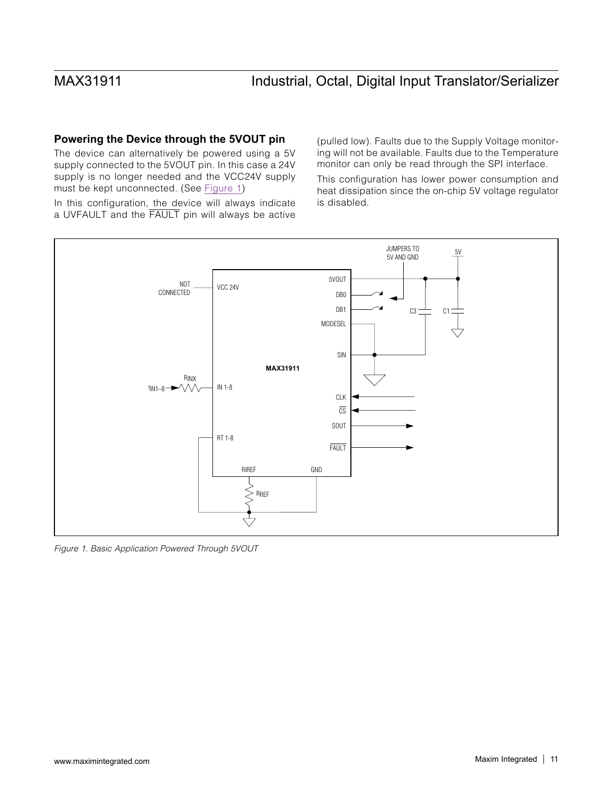### **Powering the Device through the 5VOUT pin**

The device can alternatively be powered using a 5V supply connected to the 5VOUT pin. In this case a 24V supply is no longer needed and the VCC24V supply must be kept unconnected. (See [Figure 1\)](#page-10-0)

(pulled low). Faults due to the Supply Voltage monitoring will not be available. Faults due to the Temperature monitor can only be read through the SPI interface.

This configuration has lower power consumption and heat dissipation since the on-chip 5V voltage regulator is disabled.

In this configuration, the device will always indicate a UVFAULT and the FAULT pin will always be active



<span id="page-10-0"></span>*Figure 1. Basic Application Powered Through 5VOUT*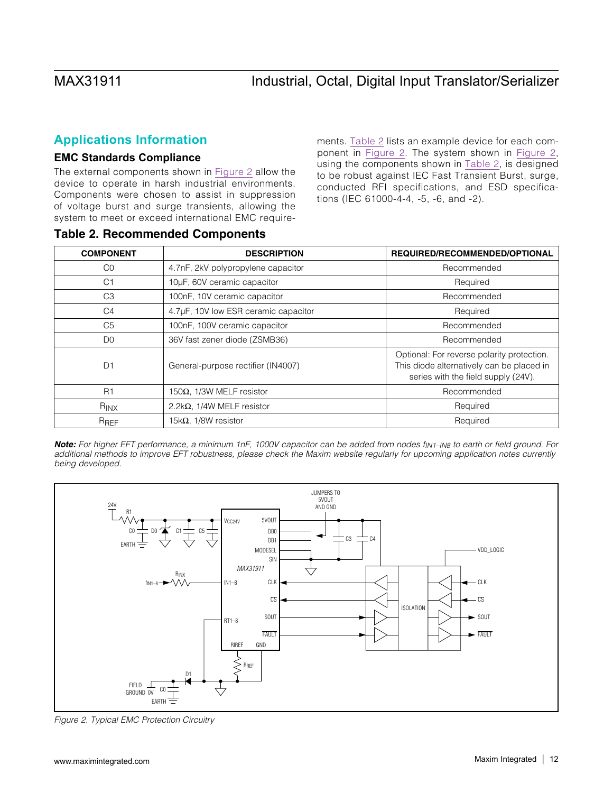## **Applications Information**

### **EMC Standards Compliance**

The external components shown in [Figure 2](#page-11-0) allow the device to operate in harsh industrial environments. Components were chosen to assist in suppression of voltage burst and surge transients, allowing the system to meet or exceed international EMC requirements. [Table 2](#page-11-1) lists an example device for each component in [Figure 2.](#page-11-0) The system shown in [Figure 2](#page-11-0), using the components shown in [Table 2,](#page-11-1) is designed to be robust against IEC Fast Transient Burst, surge, conducted RFI specifications, and ESD specifications (IEC 61000-4-4, -5, -6, and -2).

| <b>COMPONENT</b> | <b>DESCRIPTION</b>                   | REQUIRED/RECOMMENDED/OPTIONAL                                                                                                  |
|------------------|--------------------------------------|--------------------------------------------------------------------------------------------------------------------------------|
| C0               | 4.7nF, 2kV polypropylene capacitor   | Recommended                                                                                                                    |
| C <sub>1</sub>   | 10µF, 60V ceramic capacitor          | Required                                                                                                                       |
| C <sub>3</sub>   | 100nF, 10V ceramic capacitor         | Recommended                                                                                                                    |
| C <sub>4</sub>   | 4.7µF, 10V low ESR ceramic capacitor | Required                                                                                                                       |
| C <sub>5</sub>   | 100nF, 100V ceramic capacitor        | Recommended                                                                                                                    |
| D <sub>0</sub>   | 36V fast zener diode (ZSMB36)        | Recommended                                                                                                                    |
| D <sub>1</sub>   | General-purpose rectifier (IN4007)   | Optional: For reverse polarity protection.<br>This diode alternatively can be placed in<br>series with the field supply (24V). |
| R1               | 150 $\Omega$ , 1/3W MELF resistor    | Recommended                                                                                                                    |
| R <sub>INX</sub> | 2.2k $\Omega$ , 1/4W MELF resistor   | Required                                                                                                                       |
| R <sub>REF</sub> | 15k $\Omega$ , 1/8W resistor         | Required                                                                                                                       |

### <span id="page-11-1"></span>Table 2. Recommended Components

**Note:** For higher EFT performance, a minimum 1nF, 1000V capacitor can be added from nodes f<sub>IN1-IN8</sub> to earth or field ground. For *additional methods to improve EFT robustness, please check the Maxim website regularly for upcoming application notes currently being developed.*



<span id="page-11-0"></span>*Figure 2. Typical EMC Protection Circuitry*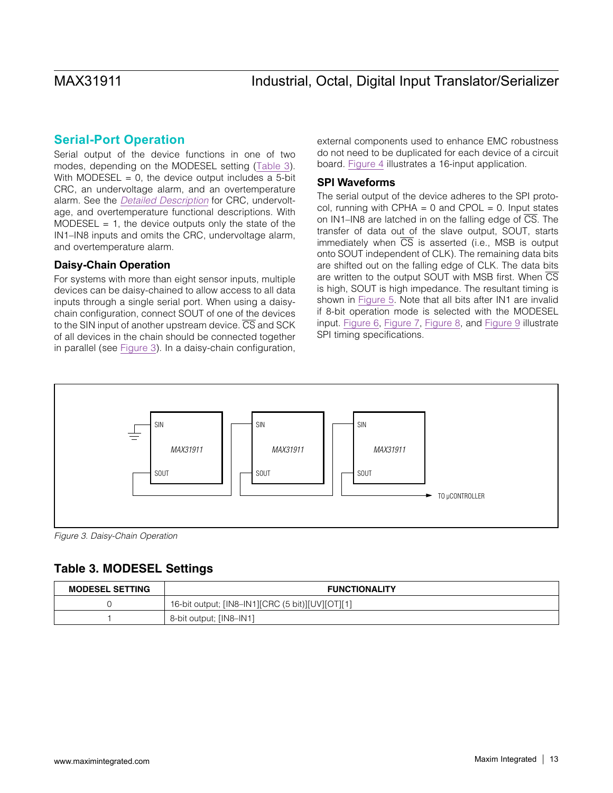### <span id="page-12-0"></span>**Serial-Port Operation**

Serial output of the device functions in one of two modes, depending on the MODESEL setting [\(Table 3](#page-12-1)). With MODESEL =  $0$ , the device output includes a 5-bit CRC, an undervoltage alarm, and an overtemperature alarm. See the *[Detailed Description](#page-8-0)* for CRC, undervoltage, and overtemperature functional descriptions. With MODESEL  $= 1$ , the device outputs only the state of the IN1–IN8 inputs and omits the CRC, undervoltage alarm, and overtemperature alarm.

### **Daisy-Chain Operation**

For systems with more than eight sensor inputs, multiple devices can be daisy-chained to allow access to all data inputs through a single serial port. When using a daisychain configuration, connect SOUT of one of the devices to the SIN input of another upstream device.  $\overline{CS}$  and SCK of all devices in the chain should be connected together in parallel (see [Figure 3\)](#page-12-2). In a daisy-chain configuration, external components used to enhance EMC robustness do not need to be duplicated for each device of a circuit board. [Figure 4](#page-13-0) illustrates a 16-input application.

### **SPI Waveforms**

The serial output of the device adheres to the SPI protocol, running with CPHA =  $0$  and CPOL =  $0$ . Input states on IN1–IN8 are latched in on the falling edge of  $\overline{CS}$ . The transfer of data out of the slave output, SOUT, starts immediately when  $\overline{CS}$  is asserted (i.e., MSB is output onto SOUT independent of CLK). The remaining data bits are shifted out on the falling edge of CLK. The data bits are written to the output SOUT with MSB first. When  $\overline{\text{CS}}$ is high, SOUT is high impedance. The resultant timing is shown in [Figure 5.](#page-14-4) Note that all bits after IN1 are invalid if 8-bit operation mode is selected with the MODESEL input. [Figure 6,](#page-14-1) [Figure 7](#page-14-3), [Figure 8,](#page-14-2) and [Figure 9](#page-14-0) illustrate SPI timing specifications.



<span id="page-12-2"></span>*Figure 3. Daisy-Chain Operation*

## <span id="page-12-1"></span>Table 3. MODESEL Settings

| <b>MODESEL SETTING</b> | <b>FUNCTIONALITY</b>                             |
|------------------------|--------------------------------------------------|
|                        | 16-bit output; [IN8-IN1][CRC (5 bit)][UV][OT][1] |
|                        | 8-bit output; [IN8-IN1]                          |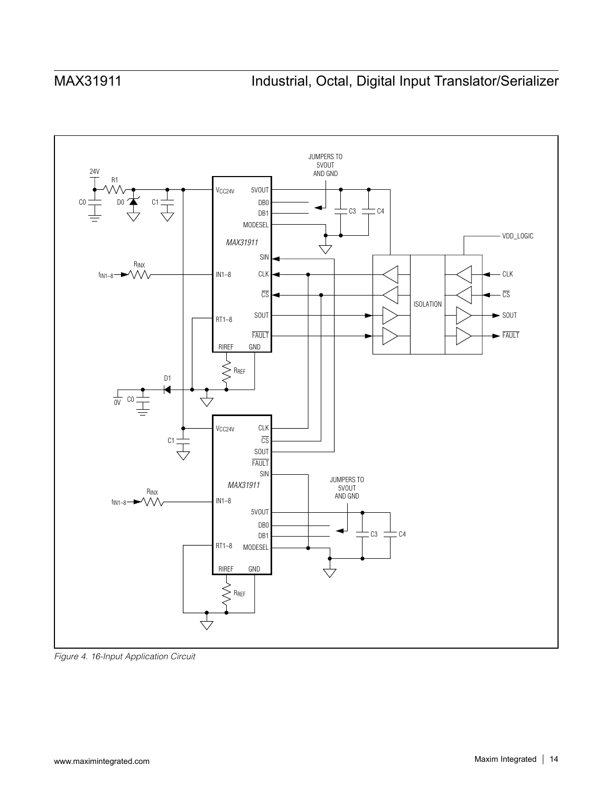

<span id="page-13-0"></span>*Figure 4. 16-Input Application Circuit*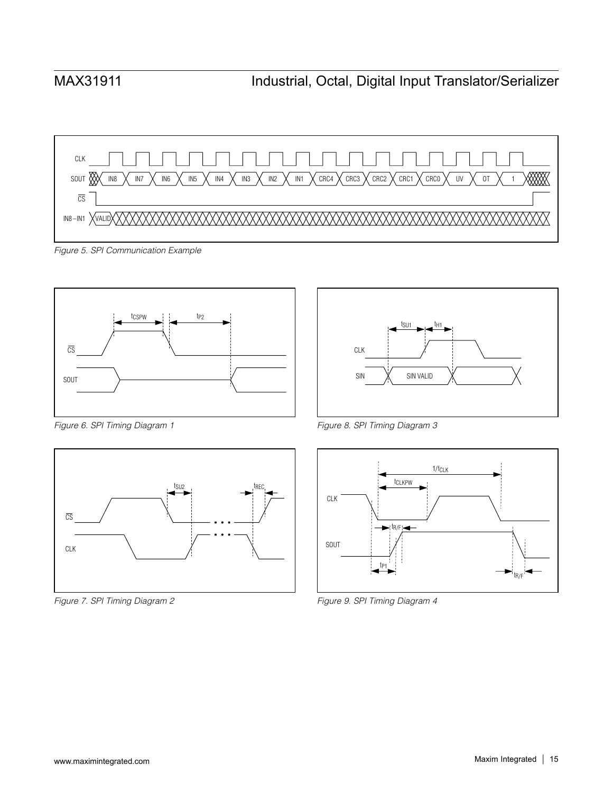

<span id="page-14-4"></span>*Figure 5. SPI Communication Example*



<span id="page-14-1"></span>*Figure 6. SPI Timing Diagram 1*



<span id="page-14-3"></span>*Figure 7. SPI Timing Diagram 2*



<span id="page-14-2"></span>*Figure 8. SPI Timing Diagram 3*



<span id="page-14-0"></span>*Figure 9. SPI Timing Diagram 4*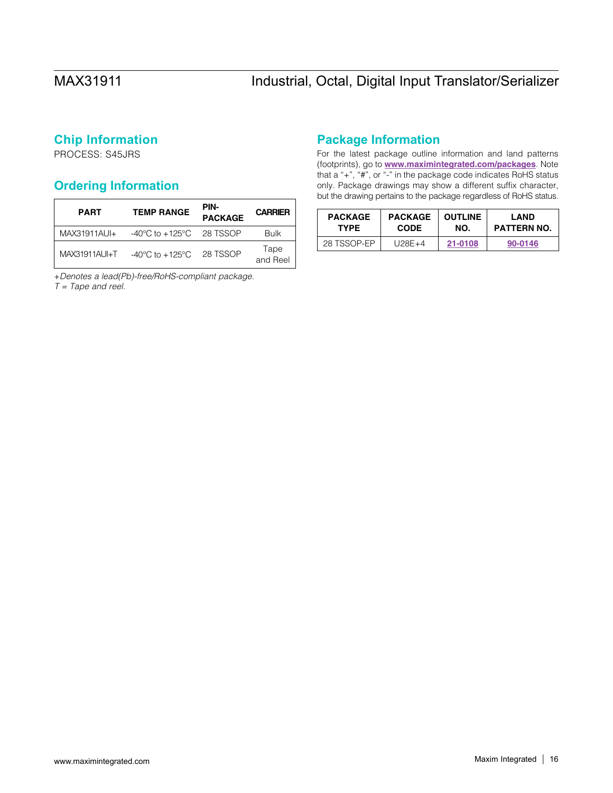## **Chip Information**

PROCESS: S45JRS

## <span id="page-15-0"></span>**Ordering Information**

| <b>PART</b>    | <b>TEMP RANGE</b>                            | PIN-<br><b>PACKAGE</b> | <b>CARRIER</b>   |
|----------------|----------------------------------------------|------------------------|------------------|
| $MAX31911AUJ+$ | $-40^{\circ}$ C to $+125^{\circ}$ C 28 TSSOP |                        | <b>Bulk</b>      |
| MAX31911AU-T   | $-40^{\circ}$ C to $+125^{\circ}$ C 28 TSSOP |                        | Tape<br>and Reel |

+*Denotes a lead(Pb)-free/RoHS-compliant package. T = Tape and reel.*

## **Package Information**

For the latest package outline information and land patterns (footprints), go to [www.maximintegrated.com/packages](http://www.maximintegrated.com/packages). Note that a "+", "#", or "-" in the package code indicates RoHS status only. Package drawings may show a different suffix character, but the drawing pertains to the package regardless of RoHS status.

| <b>PACKAGE</b> | <b>PACKAGE</b> | <b>OUTLINE</b> | LAND               |
|----------------|----------------|----------------|--------------------|
| <b>TYPE</b>    | <b>CODE</b>    | NO.            | <b>PATTERN NO.</b> |
| 28 TSSOP-EP    | $U28E+4$       | 21-0108        | 90-0146            |